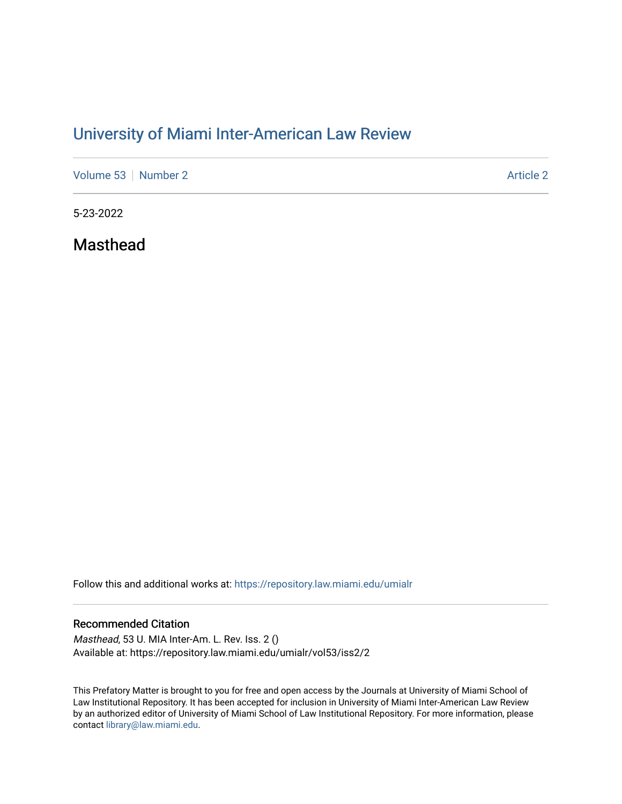# [University of Miami Inter-American Law Review](https://repository.law.miami.edu/umialr)

[Volume 53](https://repository.law.miami.edu/umialr/vol53) [Number 2](https://repository.law.miami.edu/umialr/vol53/iss2) [Article 2](https://repository.law.miami.edu/umialr/vol53/iss2/2) Article 2 Article 2 Article 2 Article 2 Article 2 Article 2

5-23-2022

Masthead

Follow this and additional works at: [https://repository.law.miami.edu/umialr](https://repository.law.miami.edu/umialr?utm_source=repository.law.miami.edu%2Fumialr%2Fvol53%2Fiss2%2F2&utm_medium=PDF&utm_campaign=PDFCoverPages)

### Recommended Citation

Masthead, 53 U. MIA Inter-Am. L. Rev. Iss. 2 () Available at: https://repository.law.miami.edu/umialr/vol53/iss2/2

This Prefatory Matter is brought to you for free and open access by the Journals at University of Miami School of Law Institutional Repository. It has been accepted for inclusion in University of Miami Inter-American Law Review by an authorized editor of University of Miami School of Law Institutional Repository. For more information, please contact [library@law.miami.edu](mailto:library@law.miami.edu).